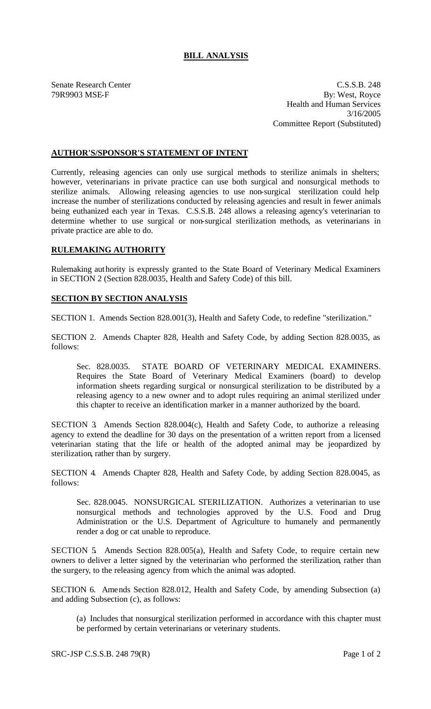## **BILL ANALYSIS**

Senate Research Center C.S.S.B. 248 79R9903 MSE-F By: West, Royce Health and Human Services 3/16/2005 Committee Report (Substituted)

## **AUTHOR'S/SPONSOR'S STATEMENT OF INTENT**

Currently, releasing agencies can only use surgical methods to sterilize animals in shelters; however, veterinarians in private practice can use both surgical and nonsurgical methods to sterilize animals. Allowing releasing agencies to use non-surgical sterilization could help increase the number of sterilizations conducted by releasing agencies and result in fewer animals being euthanized each year in Texas. C.S.S.B. 248 allows a releasing agency's veterinarian to determine whether to use surgical or non-surgical sterilization methods, as veterinarians in private practice are able to do.

## **RULEMAKING AUTHORITY**

Rulemaking authority is expressly granted to the State Board of Veterinary Medical Examiners in SECTION 2 (Section 828.0035, Health and Safety Code) of this bill.

## **SECTION BY SECTION ANALYSIS**

SECTION 1. Amends Section 828.001(3), Health and Safety Code, to redefine "sterilization."

SECTION 2. Amends Chapter 828, Health and Safety Code, by adding Section 828.0035, as follows:

Sec. 828.0035. STATE BOARD OF VETERINARY MEDICAL EXAMINERS. Requires the State Board of Veterinary Medical Examiners (board) to develop information sheets regarding surgical or nonsurgical sterilization to be distributed by a releasing agency to a new owner and to adopt rules requiring an animal sterilized under this chapter to receive an identification marker in a manner authorized by the board.

SECTION 3. Amends Section 828.004(c), Health and Safety Code, to authorize a releasing agency to extend the deadline for 30 days on the presentation of a written report from a licensed veterinarian stating that the life or health of the adopted animal may be jeopardized by sterilization, rather than by surgery.

SECTION 4. Amends Chapter 828, Health and Safety Code, by adding Section 828.0045, as follows:

Sec. 828.0045. NONSURGICAL STERILIZATION. Authorizes a veterinarian to use nonsurgical methods and technologies approved by the U.S. Food and Drug Administration or the U.S. Department of Agriculture to humanely and permanently render a dog or cat unable to reproduce.

SECTION 5. Amends Section 828.005(a), Health and Safety Code, to require certain new owners to deliver a letter signed by the veterinarian who performed the sterilization, rather than the surgery, to the releasing agency from which the animal was adopted.

SECTION 6. Amends Section 828.012, Health and Safety Code, by amending Subsection (a) and adding Subsection (c), as follows:

(a) Includes that nonsurgical sterilization performed in accordance with this chapter must be performed by certain veterinarians or veterinary students.